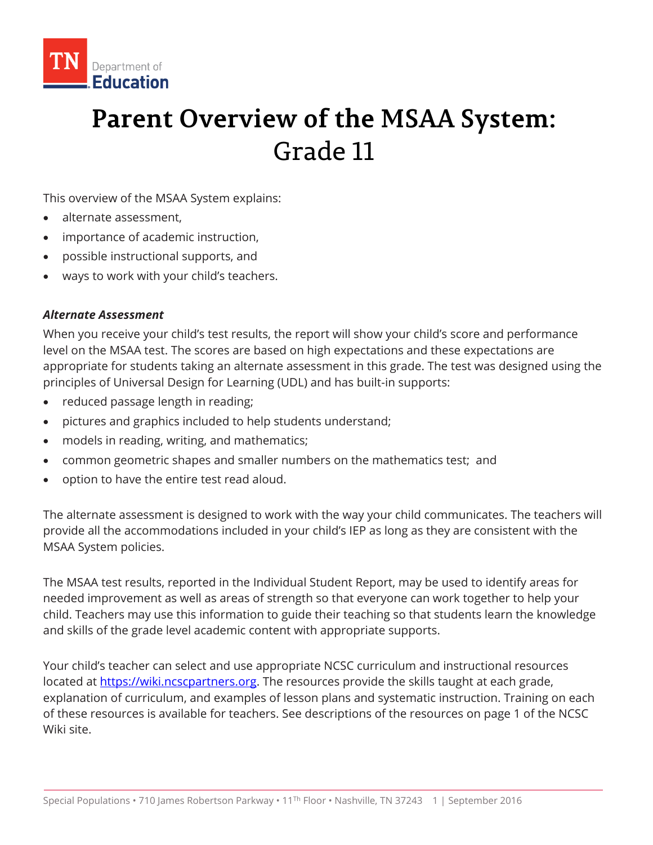

# **Parent Overview of the MSAA System:** Grade 11

This overview of the MSAA System explains:

- alternate assessment,
- importance of academic instruction,
- possible instructional supports, and
- ways to work with your child's teachers.

#### *Alternate Assessment*

When you receive your child's test results, the report will show your child's score and performance level on the MSAA test. The scores are based on high expectations and these expectations are appropriate for students taking an alternate assessment in this grade. The test was designed using the principles of Universal Design for Learning (UDL) and has built-in supports:

- reduced passage length in reading;
- pictures and graphics included to help students understand;
- models in reading, writing, and mathematics;
- common geometric shapes and smaller numbers on the mathematics test; and
- option to have the entire test read aloud.

The alternate assessment is designed to work with the way your child communicates. The teachers will provide all the accommodations included in your child's IEP as long as they are consistent with the MSAA System policies.

The MSAA test results, reported in the Individual Student Report, may be used to identify areas for needed improvement as well as areas of strength so that everyone can work together to help your child. Teachers may use this information to guide their teaching so that students learn the knowledge and skills of the grade level academic content with appropriate supports.

Your child's teacher can select and use appropriate NCSC curriculum and instructional resources located at [https://wiki.ncscpartners.org.](https://wiki.ncscpartners.org/) The resources provide the skills taught at each grade, explanation of curriculum, and examples of lesson plans and systematic instruction. Training on each of these resources is available for teachers. See descriptions of the resources on page 1 of the NCSC Wiki site.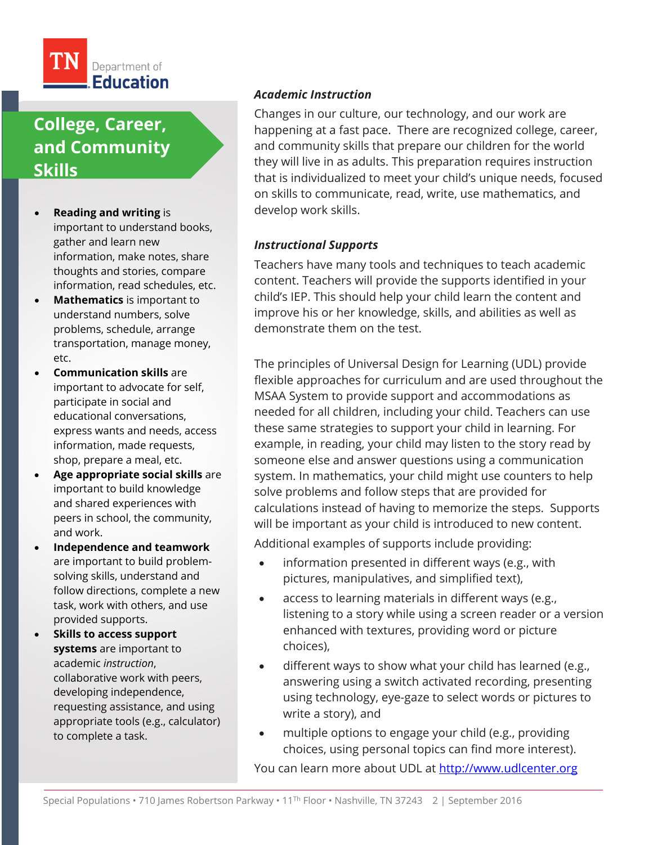

# **College, Career, and Community Skills**

- **Reading and writing** is important to understand books, gather and learn new information, make notes, share thoughts and stories, compare information, read schedules, etc.
- **Mathematics** is important to understand numbers, solve problems, schedule, arrange transportation, manage money, etc.
- **Communication skills** are important to advocate for self, participate in social and educational conversations, express wants and needs, access information, made requests, shop, prepare a meal, etc.
- **Age appropriate social skills** are important to build knowledge and shared experiences with peers in school, the community, and work.
- **Independence and teamwork**  are important to build problemsolving skills, understand and follow directions, complete a new task, work with others, and use provided supports.
- **Skills to access support systems** are important to academic *instruction*, collaborative work with peers, developing independence, requesting assistance, and using appropriate tools (e.g., calculator) to complete a task.

### *Academic Instruction*

Changes in our culture, our technology, and our work are happening at a fast pace. There are recognized college, career, and community skills that prepare our children for the world they will live in as adults. This preparation requires instruction that is individualized to meet your child's unique needs, focused on skills to communicate, read, write, use mathematics, and develop work skills.

#### *Instructional Supports*

Teachers have many tools and techniques to teach academic content. Teachers will provide the supports identified in your child's IEP. This should help your child learn the content and improve his or her knowledge, skills, and abilities as well as demonstrate them on the test.

The principles of Universal Design for Learning (UDL) provide flexible approaches for curriculum and are used throughout the MSAA System to provide support and accommodations as needed for all children, including your child. Teachers can use these same strategies to support your child in learning. For example, in reading, your child may listen to the story read by someone else and answer questions using a communication system. In mathematics, your child might use counters to help solve problems and follow steps that are provided for calculations instead of having to memorize the steps. Supports will be important as your child is introduced to new content.

Additional examples of supports include providing:

- information presented in different ways (e.g., with pictures, manipulatives, and simplified text),
- access to learning materials in different ways (e.g., listening to a story while using a screen reader or a version enhanced with textures, providing word or picture choices),
- different ways to show what your child has learned (e.g., answering using a switch activated recording, presenting using technology, eye-gaze to select words or pictures to write a story), and
- multiple options to engage your child (e.g., providing choices, using personal topics can find more interest).

You can learn more about UDL at [http://www.udlcenter.org](http://www.udlcenter.org/)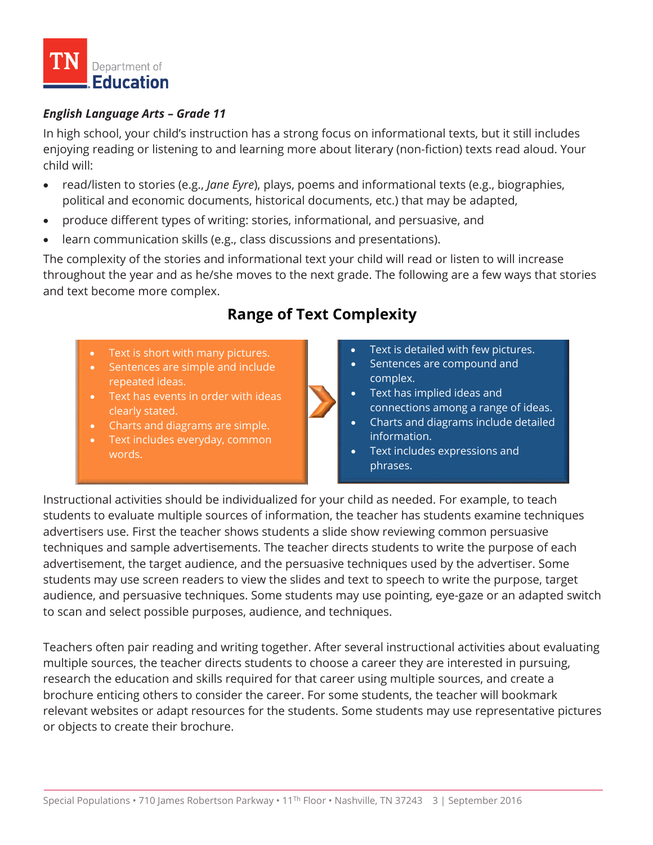

### *English Language Arts – Grade 11*

In high school, your child's instruction has a strong focus on informational texts, but it still includes enjoying reading or listening to and learning more about literary (non-fiction) texts read aloud. Your child will:

- read/listen to stories (e.g., *Jane Eyre*), plays, poems and informational texts (e.g., biographies, political and economic documents, historical documents, etc.) that may be adapted,
- produce different types of writing: stories, informational, and persuasive, and
- learn communication skills (e.g., class discussions and presentations).

The complexity of the stories and informational text your child will read or listen to will increase throughout the year and as he/she moves to the next grade. The following are a few ways that stories and text become more complex.

# **Range of Text Complexity**

- Text is short with many pictures.
- Sentences are simple and include repeated ideas.
- Text has events in order with ideas clearly stated.
- Charts and diagrams are simple.
- Text includes everyday, common words.



- Sentences are compound and complex.
- Text has implied ideas and connections among a range of ideas.
- Charts and diagrams include detailed information.
- Text includes expressions and phrases.

Instructional activities should be individualized for your child as needed. For example, to teach students to evaluate multiple sources of information, the teacher has students examine techniques advertisers use. First the teacher shows students a slide show reviewing common persuasive techniques and sample advertisements. The teacher directs students to write the purpose of each advertisement, the target audience, and the persuasive techniques used by the advertiser. Some students may use screen readers to view the slides and text to speech to write the purpose, target audience, and persuasive techniques. Some students may use pointing, eye-gaze or an adapted switch to scan and select possible purposes, audience, and techniques.

Teachers often pair reading and writing together. After several instructional activities about evaluating multiple sources, the teacher directs students to choose a career they are interested in pursuing, research the education and skills required for that career using multiple sources, and create a brochure enticing others to consider the career. For some students, the teacher will bookmark relevant websites or adapt resources for the students. Some students may use representative pictures or objects to create their brochure.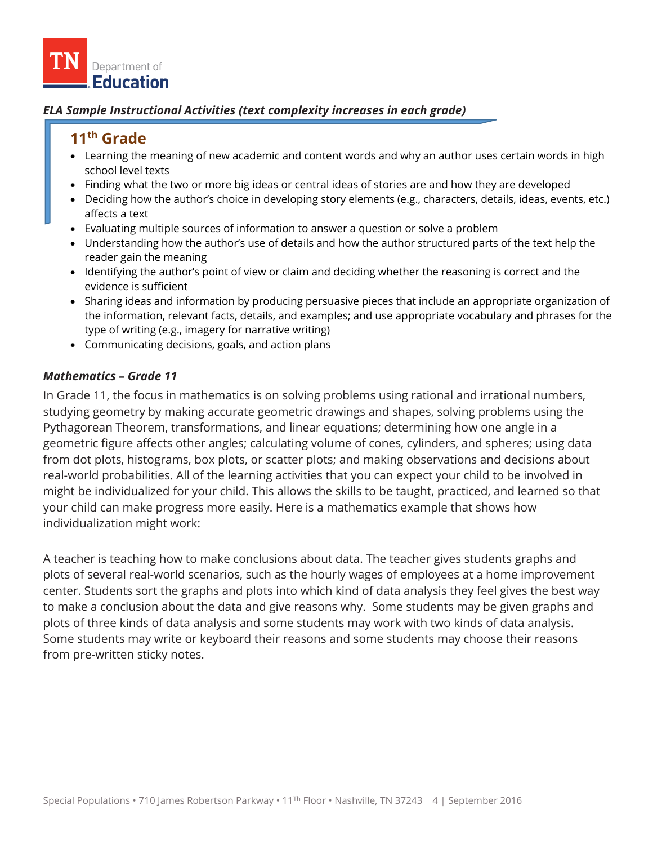

#### *ELA Sample Instructional Activities (text complexity increases in each grade)*

## **11th Grade**

- Learning the meaning of new academic and content words and why an author uses certain words in high school level texts
- Finding what the two or more big ideas or central ideas of stories are and how they are developed
- Deciding how the author's choice in developing story elements (e.g., characters, details, ideas, events, etc.) affects a text
- Evaluating multiple sources of information to answer a question or solve a problem
- Understanding how the author's use of details and how the author structured parts of the text help the reader gain the meaning
- Identifying the author's point of view or claim and deciding whether the reasoning is correct and the evidence is sufficient
- Sharing ideas and information by producing persuasive pieces that include an appropriate organization of the information, relevant facts, details, and examples; and use appropriate vocabulary and phrases for the type of writing (e.g., imagery for narrative writing)
- Communicating decisions, goals, and action plans

#### *Mathematics – Grade 11*

In Grade 11, the focus in mathematics is on solving problems using rational and irrational numbers, studying geometry by making accurate geometric drawings and shapes, solving problems using the Pythagorean Theorem, transformations, and linear equations; determining how one angle in a geometric figure affects other angles; calculating volume of cones, cylinders, and spheres; using data from dot plots, histograms, box plots, or scatter plots; and making observations and decisions about real-world probabilities. All of the learning activities that you can expect your child to be involved in might be individualized for your child. This allows the skills to be taught, practiced, and learned so that your child can make progress more easily. Here is a mathematics example that shows how individualization might work:

A teacher is teaching how to make conclusions about data. The teacher gives students graphs and plots of several real-world scenarios, such as the hourly wages of employees at a home improvement center. Students sort the graphs and plots into which kind of data analysis they feel gives the best way to make a conclusion about the data and give reasons why. Some students may be given graphs and plots of three kinds of data analysis and some students may work with two kinds of data analysis. Some students may write or keyboard their reasons and some students may choose their reasons from pre-written sticky notes.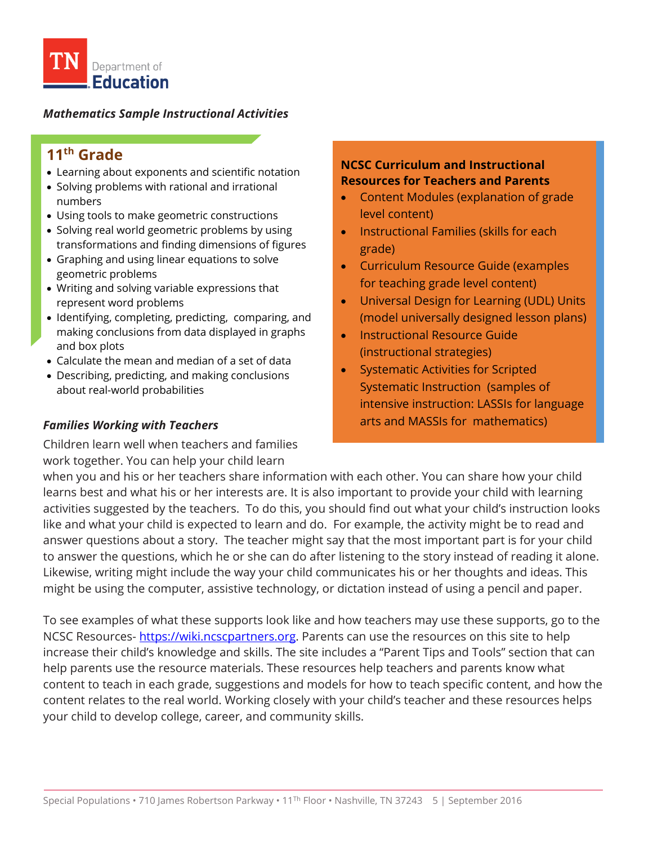

#### *Mathematics Sample Instructional Activities*

# **11th Grade**

- Learning about exponents and scientific notation
- Solving problems with rational and irrational numbers
- Using tools to make geometric constructions
- Solving real world geometric problems by using transformations and finding dimensions of figures
- Graphing and using linear equations to solve geometric problems
- Writing and solving variable expressions that represent word problems
- Identifying, completing, predicting, comparing, and making conclusions from data displayed in graphs and box plots
- Calculate the mean and median of a set of data
- Describing, predicting, and making conclusions about real-world probabilities

### *Families Working with Teachers*

Children learn well when teachers and families work together. You can help your child learn

#### **NCSC Curriculum and Instructional Resources for Teachers and Parents**

- Content Modules (explanation of grade level content)
- Instructional Families (skills for each grade)
- Curriculum Resource Guide (examples for teaching grade level content)
- Universal Design for Learning (UDL) Units (model universally designed lesson plans)
- Instructional Resource Guide (instructional strategies)
- Systematic Activities for Scripted Systematic Instruction (samples of intensive instruction: LASSIs for language arts and MASSIs for mathematics)

when you and his or her teachers share information with each other. You can share how your child learns best and what his or her interests are. It is also important to provide your child with learning activities suggested by the teachers. To do this, you should find out what your child's instruction looks like and what your child is expected to learn and do. For example, the activity might be to read and answer questions about a story. The teacher might say that the most important part is for your child to answer the questions, which he or she can do after listening to the story instead of reading it alone. Likewise, writing might include the way your child communicates his or her thoughts and ideas. This might be using the computer, assistive technology, or dictation instead of using a pencil and paper.

To see examples of what these supports look like and how teachers may use these supports, go to the NCSC Resources- [https://wiki.ncscpartners.org.](https://wiki.ncscpartners.org/) Parents can use the resources on this site to help increase their child's knowledge and skills. The site includes a "Parent Tips and Tools" section that can help parents use the resource materials. These resources help teachers and parents know what content to teach in each grade, suggestions and models for how to teach specific content, and how the content relates to the real world. Working closely with your child's teacher and these resources helps your child to develop college, career, and community skills.